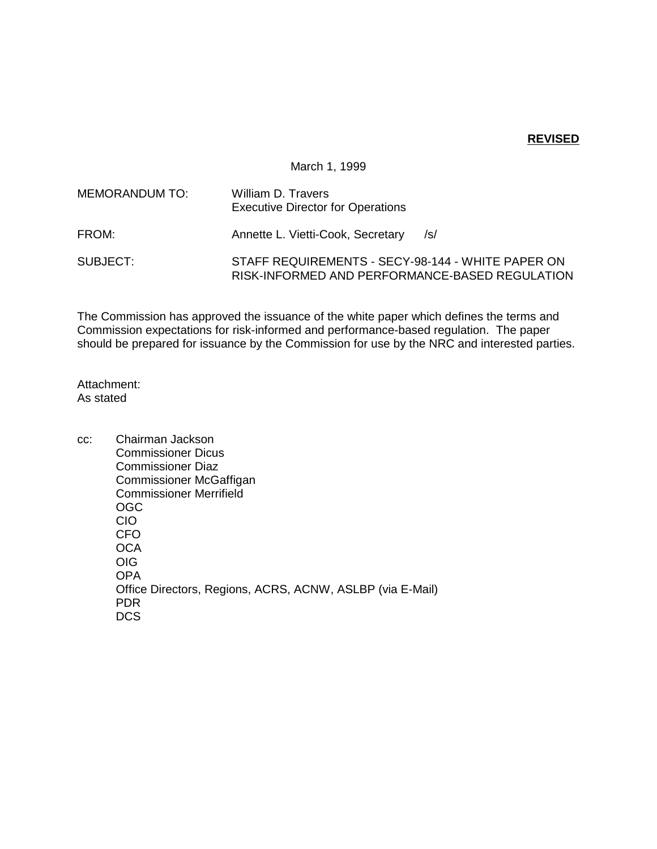## **REVISED**

## March 1, 1999

| MEMORANDUM TO: | William D. Travers<br><b>Executive Director for Operations</b>                                      |
|----------------|-----------------------------------------------------------------------------------------------------|
| FROM:          | Annette L. Vietti-Cook, Secretary<br>/s/                                                            |
| SUBJECT:       | STAFF REQUIREMENTS - SECY-98-144 - WHITE PAPER ON<br>RISK-INFORMED AND PERFORMANCE-BASED REGULATION |

The Commission has approved the issuance of the white paper which defines the terms and Commission expectations for risk-informed and performance-based regulation. The paper should be prepared for issuance by the Commission for use by the NRC and interested parties.

Attachment: As stated

cc: Chairman Jackson Commissioner Dicus Commissioner Diaz Commissioner McGaffigan Commissioner Merrifield OGC CIO CFO **OCA** OIG OPA Office Directors, Regions, ACRS, ACNW, ASLBP (via E-Mail) PDR DCS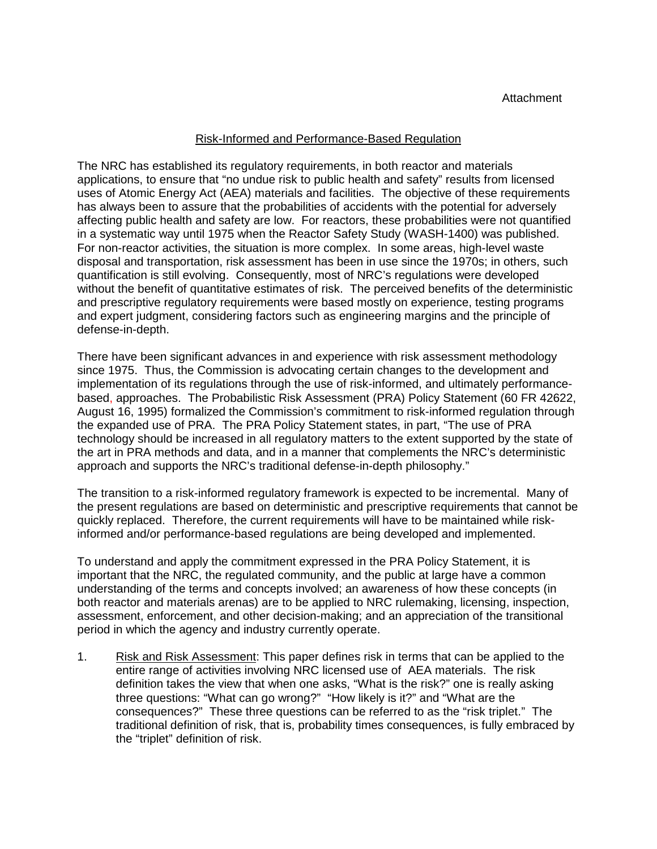## Risk-Informed and Performance-Based Regulation

The NRC has established its regulatory requirements, in both reactor and materials applications, to ensure that "no undue risk to public health and safety" results from licensed uses of Atomic Energy Act (AEA) materials and facilities. The objective of these requirements has always been to assure that the probabilities of accidents with the potential for adversely affecting public health and safety are low. For reactors, these probabilities were not quantified in a systematic way until 1975 when the Reactor Safety Study (WASH-1400) was published. For non-reactor activities, the situation is more complex. In some areas, high-level waste disposal and transportation, risk assessment has been in use since the 1970s; in others, such quantification is still evolving. Consequently, most of NRC's regulations were developed without the benefit of quantitative estimates of risk. The perceived benefits of the deterministic and prescriptive regulatory requirements were based mostly on experience, testing programs and expert judgment, considering factors such as engineering margins and the principle of defense-in-depth.

There have been significant advances in and experience with risk assessment methodology since 1975. Thus, the Commission is advocating certain changes to the development and implementation of its regulations through the use of risk-informed, and ultimately performancebased, approaches. The Probabilistic Risk Assessment (PRA) Policy Statement (60 FR 42622, August 16, 1995) formalized the Commission's commitment to risk-informed regulation through the expanded use of PRA. The PRA Policy Statement states, in part, "The use of PRA technology should be increased in all regulatory matters to the extent supported by the state of the art in PRA methods and data, and in a manner that complements the NRC's deterministic approach and supports the NRC's traditional defense-in-depth philosophy."

The transition to a risk-informed regulatory framework is expected to be incremental. Many of the present regulations are based on deterministic and prescriptive requirements that cannot be quickly replaced. Therefore, the current requirements will have to be maintained while riskinformed and/or performance-based regulations are being developed and implemented.

To understand and apply the commitment expressed in the PRA Policy Statement, it is important that the NRC, the regulated community, and the public at large have a common understanding of the terms and concepts involved; an awareness of how these concepts (in both reactor and materials arenas) are to be applied to NRC rulemaking, licensing, inspection, assessment, enforcement, and other decision-making; and an appreciation of the transitional period in which the agency and industry currently operate.

1. Risk and Risk Assessment: This paper defines risk in terms that can be applied to the entire range of activities involving NRC licensed use of AEA materials. The risk definition takes the view that when one asks, "What is the risk?" one is really asking three questions: "What can go wrong?" "How likely is it?" and "What are the consequences?" These three questions can be referred to as the "risk triplet." The traditional definition of risk, that is, probability times consequences, is fully embraced by the "triplet" definition of risk.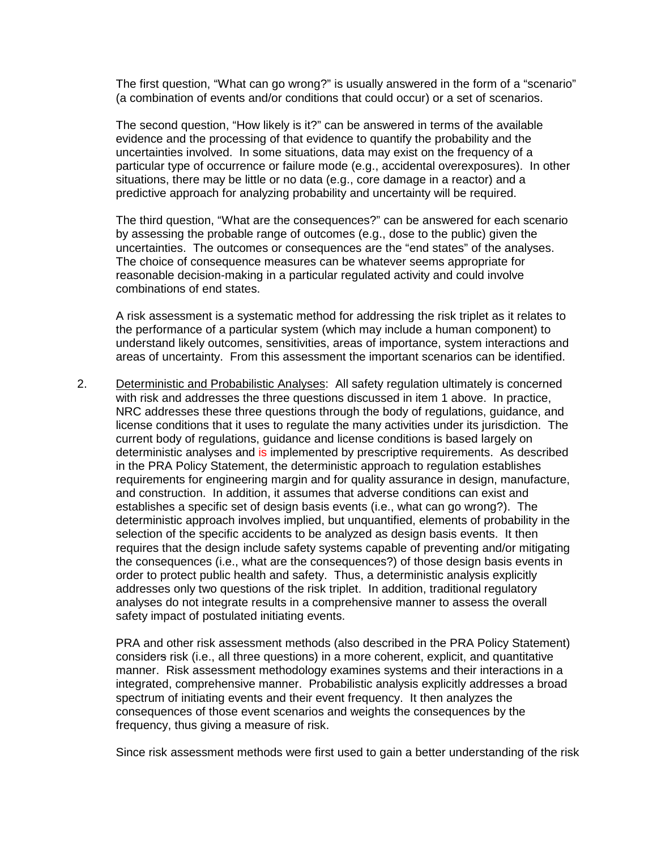The first question, "What can go wrong?" is usually answered in the form of a "scenario" (a combination of events and/or conditions that could occur) or a set of scenarios.

The second question, "How likely is it?" can be answered in terms of the available evidence and the processing of that evidence to quantify the probability and the uncertainties involved. In some situations, data may exist on the frequency of a particular type of occurrence or failure mode (e.g., accidental overexposures). In other situations, there may be little or no data (e.g., core damage in a reactor) and a predictive approach for analyzing probability and uncertainty will be required.

The third question, "What are the consequences?" can be answered for each scenario by assessing the probable range of outcomes (e.g., dose to the public) given the uncertainties. The outcomes or consequences are the "end states" of the analyses. The choice of consequence measures can be whatever seems appropriate for reasonable decision-making in a particular regulated activity and could involve combinations of end states.

A risk assessment is a systematic method for addressing the risk triplet as it relates to the performance of a particular system (which may include a human component) to understand likely outcomes, sensitivities, areas of importance, system interactions and areas of uncertainty. From this assessment the important scenarios can be identified.

2. Deterministic and Probabilistic Analyses: All safety regulation ultimately is concerned with risk and addresses the three questions discussed in item 1 above. In practice, NRC addresses these three questions through the body of regulations, guidance, and license conditions that it uses to regulate the many activities under its jurisdiction. The current body of regulations, guidance and license conditions is based largely on deterministic analyses and is implemented by prescriptive requirements. As described in the PRA Policy Statement, the deterministic approach to regulation establishes requirements for engineering margin and for quality assurance in design, manufacture, and construction. In addition, it assumes that adverse conditions can exist and establishes a specific set of design basis events (i.e., what can go wrong?). The deterministic approach involves implied, but unquantified, elements of probability in the selection of the specific accidents to be analyzed as design basis events. It then requires that the design include safety systems capable of preventing and/or mitigating the consequences (i.e., what are the consequences?) of those design basis events in order to protect public health and safety. Thus, a deterministic analysis explicitly addresses only two questions of the risk triplet. In addition, traditional regulatory analyses do not integrate results in a comprehensive manner to assess the overall safety impact of postulated initiating events.

PRA and other risk assessment methods (also described in the PRA Policy Statement) considers risk (i.e., all three questions) in a more coherent, explicit, and quantitative manner. Risk assessment methodology examines systems and their interactions in a integrated, comprehensive manner. Probabilistic analysis explicitly addresses a broad spectrum of initiating events and their event frequency. It then analyzes the consequences of those event scenarios and weights the consequences by the frequency, thus giving a measure of risk.

Since risk assessment methods were first used to gain a better understanding of the risk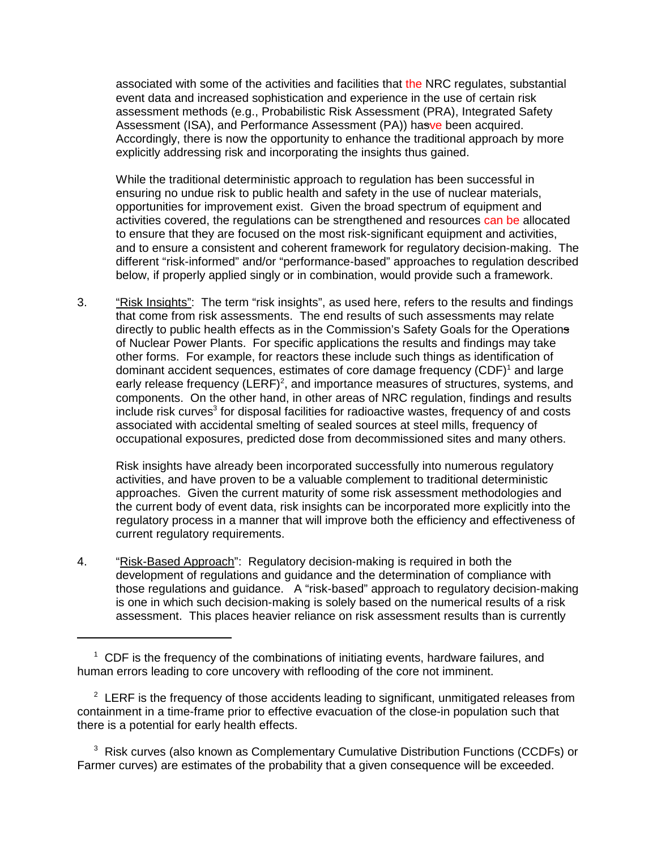associated with some of the activities and facilities that the NRC regulates, substantial event data and increased sophistication and experience in the use of certain risk assessment methods (e.g., Probabilistic Risk Assessment (PRA), Integrated Safety Assessment (ISA), and Performance Assessment (PA)) hasve been acquired. Accordingly, there is now the opportunity to enhance the traditional approach by more explicitly addressing risk and incorporating the insights thus gained.

While the traditional deterministic approach to regulation has been successful in ensuring no undue risk to public health and safety in the use of nuclear materials, opportunities for improvement exist. Given the broad spectrum of equipment and activities covered, the regulations can be strengthened and resources can be allocated to ensure that they are focused on the most risk-significant equipment and activities, and to ensure a consistent and coherent framework for regulatory decision-making. The different "risk-informed" and/or "performance-based" approaches to regulation described below, if properly applied singly or in combination, would provide such a framework.

3. "Risk Insights": The term "risk insights", as used here, refers to the results and findings that come from risk assessments. The end results of such assessments may relate directly to public health effects as in the Commission's Safety Goals for the Operations of Nuclear Power Plants. For specific applications the results and findings may take other forms. For example, for reactors these include such things as identification of dominant accident sequences, estimates of core damage frequency  $(CDF)^{1}$  and large early release frequency (LERF)<sup>2</sup>, and importance measures of structures, systems, and components. On the other hand, in other areas of NRC regulation, findings and results include risk curves<sup>3</sup> for disposal facilities for radioactive wastes, frequency of and costs associated with accidental smelting of sealed sources at steel mills, frequency of occupational exposures, predicted dose from decommissioned sites and many others.

Risk insights have already been incorporated successfully into numerous regulatory activities, and have proven to be a valuable complement to traditional deterministic approaches. Given the current maturity of some risk assessment methodologies and the current body of event data, risk insights can be incorporated more explicitly into the regulatory process in a manner that will improve both the efficiency and effectiveness of current regulatory requirements.

4. "Risk-Based Approach": Regulatory decision-making is required in both the development of regulations and guidance and the determination of compliance with those regulations and guidance. A "risk-based" approach to regulatory decision-making is one in which such decision-making is solely based on the numerical results of a risk assessment. This places heavier reliance on risk assessment results than is currently

<sup>1</sup> CDF is the frequency of the combinations of initiating events, hardware failures, and human errors leading to core uncovery with reflooding of the core not imminent.

 $2$  LERF is the frequency of those accidents leading to significant, unmitigated releases from containment in a time-frame prior to effective evacuation of the close-in population such that there is a potential for early health effects.

<sup>&</sup>lt;sup>3</sup> Risk curves (also known as Complementary Cumulative Distribution Functions (CCDFs) or Farmer curves) are estimates of the probability that a given consequence will be exceeded.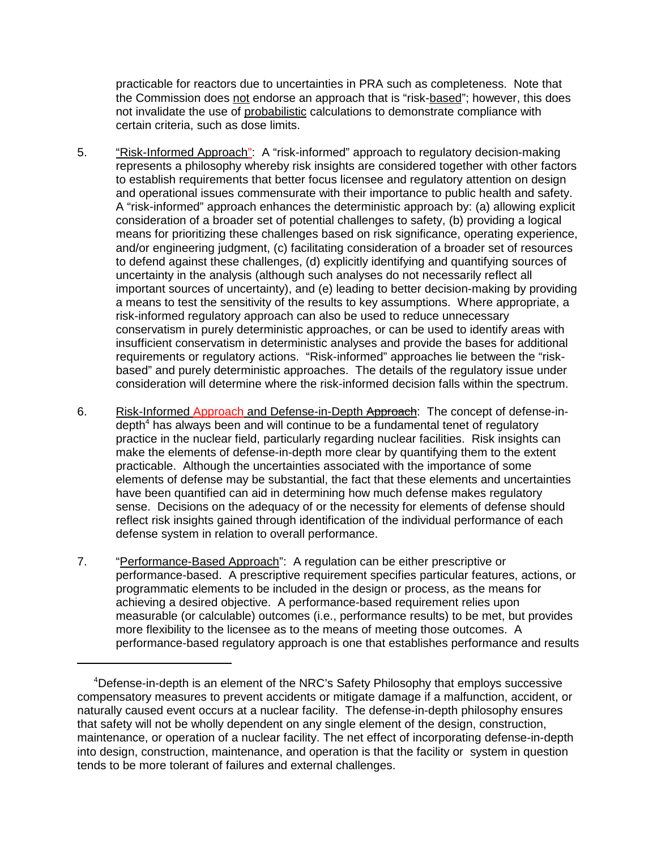practicable for reactors due to uncertainties in PRA such as completeness. Note that the Commission does not endorse an approach that is "risk-based"; however, this does not invalidate the use of probabilistic calculations to demonstrate compliance with certain criteria, such as dose limits.

- 5. "Risk-Informed Approach": A "risk-informed" approach to regulatory decision-making represents a philosophy whereby risk insights are considered together with other factors to establish requirements that better focus licensee and regulatory attention on design and operational issues commensurate with their importance to public health and safety. A "risk-informed" approach enhances the deterministic approach by: (a) allowing explicit consideration of a broader set of potential challenges to safety, (b) providing a logical means for prioritizing these challenges based on risk significance, operating experience, and/or engineering judgment, (c) facilitating consideration of a broader set of resources to defend against these challenges, (d) explicitly identifying and quantifying sources of uncertainty in the analysis (although such analyses do not necessarily reflect all important sources of uncertainty), and (e) leading to better decision-making by providing a means to test the sensitivity of the results to key assumptions. Where appropriate, a risk-informed regulatory approach can also be used to reduce unnecessary conservatism in purely deterministic approaches, or can be used to identify areas with insufficient conservatism in deterministic analyses and provide the bases for additional requirements or regulatory actions. "Risk-informed" approaches lie between the "riskbased" and purely deterministic approaches. The details of the regulatory issue under consideration will determine where the risk-informed decision falls within the spectrum.
- 6. Risk-Informed Approach and Defense-in-Depth Approach: The concept of defense-indepth<sup>4</sup> has always been and will continue to be a fundamental tenet of regulatory practice in the nuclear field, particularly regarding nuclear facilities. Risk insights can make the elements of defense-in-depth more clear by quantifying them to the extent practicable. Although the uncertainties associated with the importance of some elements of defense may be substantial, the fact that these elements and uncertainties have been quantified can aid in determining how much defense makes regulatory sense. Decisions on the adequacy of or the necessity for elements of defense should reflect risk insights gained through identification of the individual performance of each defense system in relation to overall performance.
- 7. "Performance-Based Approach": A regulation can be either prescriptive or performance-based. A prescriptive requirement specifies particular features, actions, or programmatic elements to be included in the design or process, as the means for achieving a desired objective. A performance-based requirement relies upon measurable (or calculable) outcomes (i.e., performance results) to be met, but provides more flexibility to the licensee as to the means of meeting those outcomes. A performance-based regulatory approach is one that establishes performance and results

<sup>&</sup>lt;sup>4</sup>Defense-in-depth is an element of the NRC's Safety Philosophy that employs successive compensatory measures to prevent accidents or mitigate damage if a malfunction, accident, or naturally caused event occurs at a nuclear facility. The defense-in-depth philosophy ensures that safety will not be wholly dependent on any single element of the design, construction, maintenance, or operation of a nuclear facility. The net effect of incorporating defense-in-depth into design, construction, maintenance, and operation is that the facility or system in question tends to be more tolerant of failures and external challenges.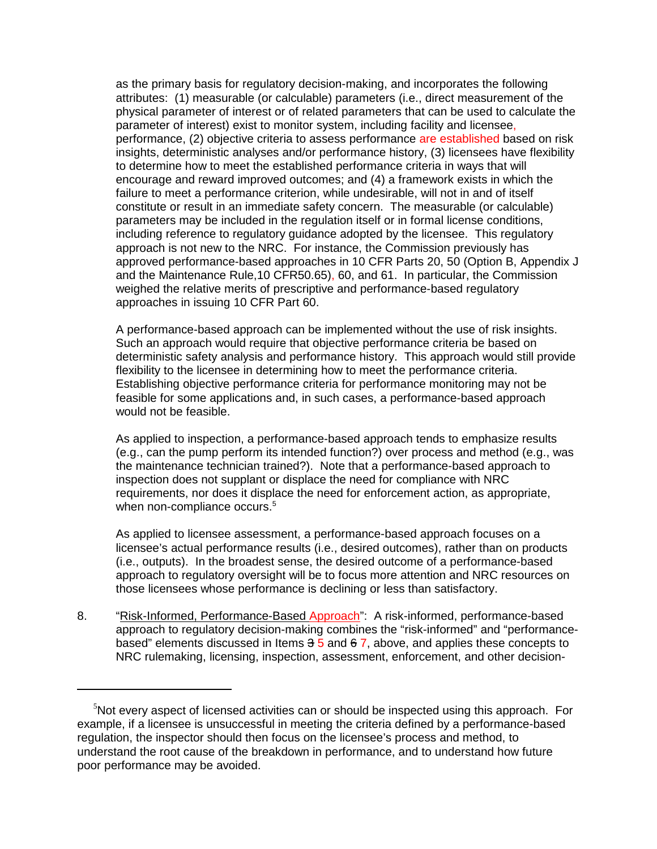as the primary basis for regulatory decision-making, and incorporates the following attributes: (1) measurable (or calculable) parameters (i.e., direct measurement of the physical parameter of interest or of related parameters that can be used to calculate the parameter of interest) exist to monitor system, including facility and licensee, performance, (2) objective criteria to assess performance are established based on risk insights, deterministic analyses and/or performance history, (3) licensees have flexibility to determine how to meet the established performance criteria in ways that will encourage and reward improved outcomes; and (4) a framework exists in which the failure to meet a performance criterion, while undesirable, will not in and of itself constitute or result in an immediate safety concern. The measurable (or calculable) parameters may be included in the regulation itself or in formal license conditions, including reference to regulatory guidance adopted by the licensee. This regulatory approach is not new to the NRC. For instance, the Commission previously has approved performance-based approaches in 10 CFR Parts 20, 50 (Option B, Appendix J and the Maintenance Rule,10 CFR50.65), 60, and 61. In particular, the Commission weighed the relative merits of prescriptive and performance-based regulatory approaches in issuing 10 CFR Part 60.

A performance-based approach can be implemented without the use of risk insights. Such an approach would require that objective performance criteria be based on deterministic safety analysis and performance history. This approach would still provide flexibility to the licensee in determining how to meet the performance criteria. Establishing objective performance criteria for performance monitoring may not be feasible for some applications and, in such cases, a performance-based approach would not be feasible.

As applied to inspection, a performance-based approach tends to emphasize results (e.g., can the pump perform its intended function?) over process and method (e.g., was the maintenance technician trained?). Note that a performance-based approach to inspection does not supplant or displace the need for compliance with NRC requirements, nor does it displace the need for enforcement action, as appropriate, when non-compliance occurs.<sup>5</sup>

As applied to licensee assessment, a performance-based approach focuses on a licensee's actual performance results (i.e., desired outcomes), rather than on products (i.e., outputs). In the broadest sense, the desired outcome of a performance-based approach to regulatory oversight will be to focus more attention and NRC resources on those licensees whose performance is declining or less than satisfactory.

8. "Risk-Informed, Performance-Based Approach": A risk-informed, performance-based approach to regulatory decision-making combines the "risk-informed" and "performancebased" elements discussed in Items  $3\overline{5}$  and  $6\overline{7}$ , above, and applies these concepts to NRC rulemaking, licensing, inspection, assessment, enforcement, and other decision-

 $5$ Not every aspect of licensed activities can or should be inspected using this approach. For example, if a licensee is unsuccessful in meeting the criteria defined by a performance-based regulation, the inspector should then focus on the licensee's process and method, to understand the root cause of the breakdown in performance, and to understand how future poor performance may be avoided.